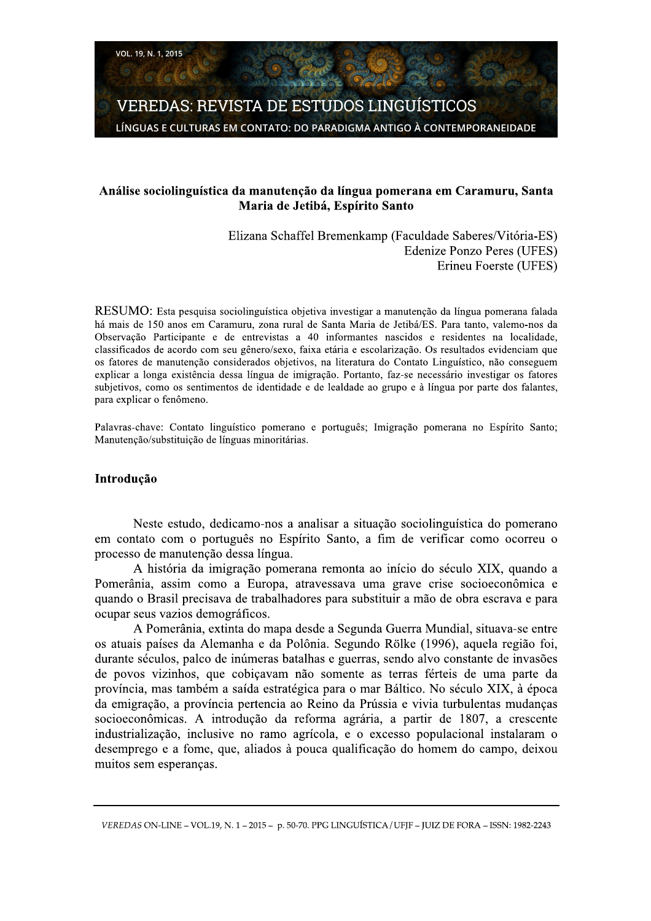**VEREDAS: REVISTA DE ESTUDOS LINGUÍSTICOS** LÍNGUAS E CULTURAS EM CONTATO: DO PARADIGMA ANTIGO À CONTEMPORANEIDADE

### Análise sociolinguística da manutenção da língua pomerana em Caramuru, Santa Maria de Jetibá, Espírito Santo

Elizana Schaffel Bremenkamp (Faculdade Saberes/Vitória-ES) **Edenize Ponzo Peres (UFES)** Erineu Foerste (UFES)

RESUMO: Esta pesquisa sociolinguística objetiva investigar a manutenção da língua pomerana falada há mais de 150 anos em Caramuru, zona rural de Santa Maria de Jetibá/ES. Para tanto, valemo-nos da Observação Participante e de entrevistas a 40 informantes nascidos e residentes na localidade, classificados de acordo com seu gênero/sexo, faixa etária e escolarização. Os resultados evidenciam que os fatores de manutenção considerados objetivos, na literatura do Contato Linguístico, não conseguem explicar a longa existência dessa língua de imigração. Portanto, faz-se necessário investigar os fatores subjetivos, como os sentimentos de identidade e de lealdade ao grupo e à língua por parte dos falantes, para explicar o fenômeno.

Palavras-chave: Contato linguístico pomerano e português; Imigração pomerana no Espírito Santo; Manutenção/substituição de línguas minoritárias.

#### Introdução

Neste estudo, dedicamo-nos a analisar a situação sociolinguística do pomerano em contato com o português no Espírito Santo, a fim de verificar como ocorreu o processo de manutenção dessa língua.

A história da imigração pomerana remonta ao início do século XIX, quando a Pomerânia, assim como a Europa, atravessava uma grave crise socioeconômica e quando o Brasil precisava de trabalhadores para substituir a mão de obra escrava e para ocupar seus vazios demográficos.

A Pomerânia, extinta do mapa desde a Segunda Guerra Mundial, situava-se entre os atuais países da Alemanha e da Polônia. Segundo Rölke (1996), aquela região foi, durante séculos, palco de inúmeras batalhas e guerras, sendo alvo constante de invasões de povos vizinhos, que cobiçavam não somente as terras férteis de uma parte da província, mas também a saída estratégica para o mar Báltico. No século XIX, à época da emigração, a província pertencia ao Reino da Prússia e vivia turbulentas mudanças socioeconômicas. A introdução da reforma agrária, a partir de 1807, a crescente industrialização, inclusive no ramo agrícola, e o excesso populacional instalaram o desemprego e a fome, que, aliados à pouca qualificação do homem do campo, deixou muitos sem esperanças.

VEREDAS ON-LINE - VOL.19, N. 1 - 2015 - p. 50-70. PPG LINGUÍSTICA / UFIF - JUIZ DE FORA - ISSN: 1982-2243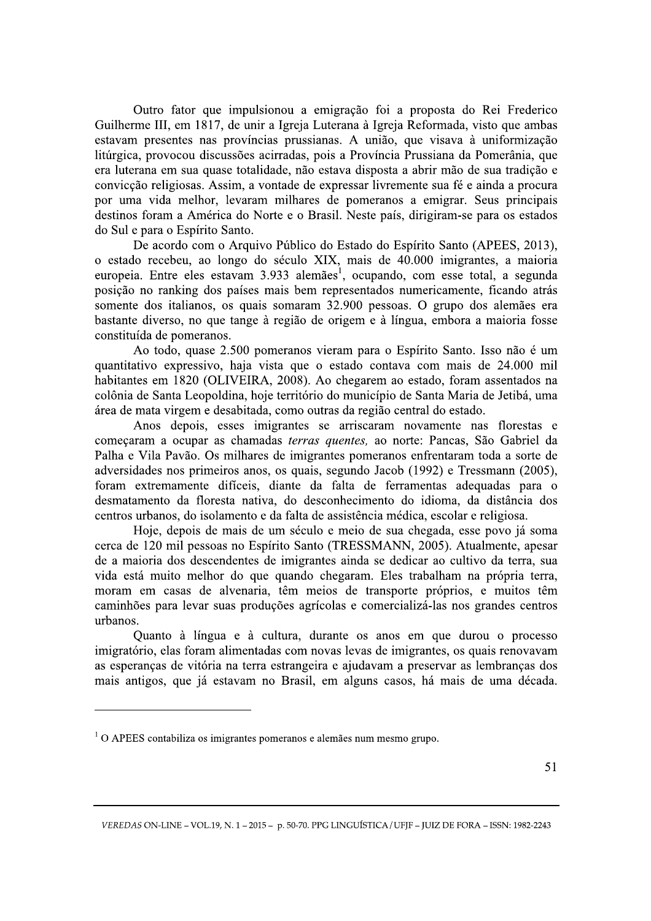Outro fator que impulsionou a emigração foi a proposta do Rei Frederico Guilherme III, em 1817, de unir a Igreja Luterana à Igreja Reformada, visto que ambas estavam presentes nas províncias prussianas. A união, que visava à uniformização litúrgica, provocou discussões acirradas, pois a Província Prussiana da Pomerânia, que era luterana em sua quase totalidade, não estava disposta a abrir mão de sua tradição e convicção religiosas. Assim, a vontade de expressar livremente sua fé e ainda a procura por uma vida melhor, levaram milhares de pomeranos a emigrar. Seus principais destinos foram a América do Norte e o Brasil. Neste país, dirigiram-se para os estados do Sul e para o Espírito Santo.

De acordo com o Arquivo Público do Estado do Espírito Santo (APEES, 2013), o estado recebeu, ao longo do século XIX, mais de 40.000 imigrantes, a maioria europeia. Entre eles estavam 3.933 alemães<sup>1</sup>, ocupando, com esse total, a segunda posição no ranking dos países mais bem representados numericamente, ficando atrás somente dos italianos, os quais somaram 32.900 pessoas. O grupo dos alemães era bastante diverso, no que tange à região de origem e à língua, embora a maioria fosse constituída de pomeranos.

Ao todo, quase 2.500 pomeranos vieram para o Espírito Santo. Isso não é um quantitativo expressivo, haja vista que o estado contava com mais de 24.000 mil habitantes em 1820 (OLIVEIRA, 2008). Ao chegarem ao estado, foram assentados na colônia de Santa Leopoldina, hoje território do município de Santa Maria de Jetibá, uma área de mata virgem e desabitada, como outras da região central do estado.

Anos depois, esses imigrantes se arriscaram novamente nas florestas e começaram a ocupar as chamadas terras quentes, ao norte: Pancas, São Gabriel da Palha e Vila Pavão. Os milhares de imigrantes pomeranos enfrentaram toda a sorte de adversidades nos primeiros anos, os quais, segundo Jacob (1992) e Tressmann (2005), foram extremamente difíceis, diante da falta de ferramentas adequadas para o desmatamento da floresta nativa, do desconhecimento do idioma, da distância dos centros urbanos, do isolamento e da falta de assistência médica, escolar e religiosa.

Hoje, depois de mais de um século e meio de sua chegada, esse povo já soma cerca de 120 mil pessoas no Espírito Santo (TRESSMANN, 2005). Atualmente, apesar de a maioria dos descendentes de imigrantes ainda se dedicar ao cultivo da terra, sua vida está muito melhor do que quando chegaram. Eles trabalham na própria terra, moram em casas de alvenaria, têm meios de transporte próprios, e muitos têm caminhões para levar suas produções agrícolas e comercializá-las nos grandes centros urbanos.

Quanto à língua e à cultura, durante os anos em que durou o processo imigratório, elas foram alimentadas com novas levas de imigrantes, os quais renovavam as esperanças de vitória na terra estrangeira e ajudavam a preservar as lembranças dos mais antigos, que já estavam no Brasil, em alguns casos, há mais de uma década.

 $1$ O APEES contabiliza os imigrantes pomeranos e alemães num mesmo grupo.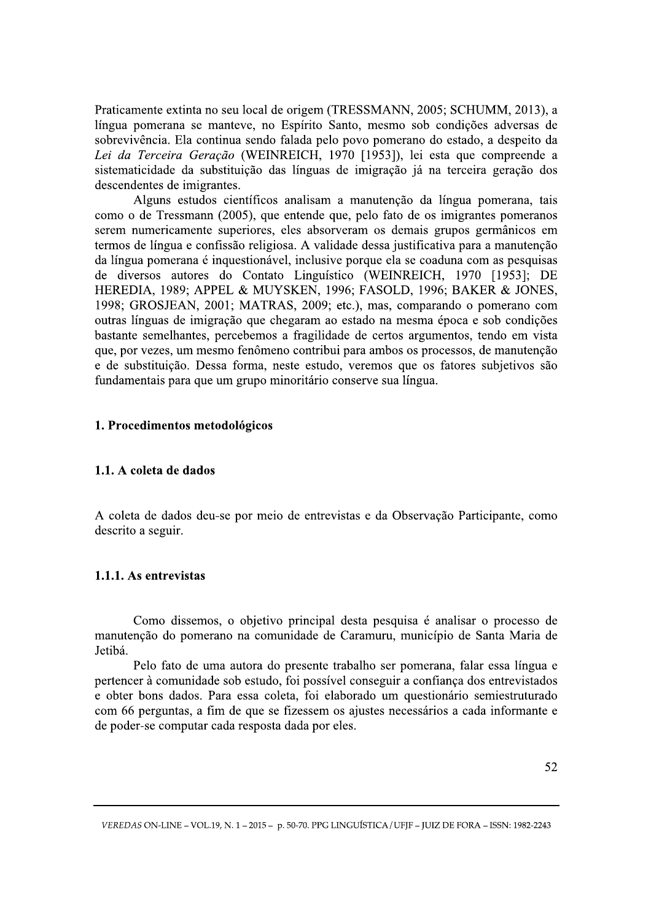Praticamente extinta no seu local de origem (TRESSMANN, 2005; SCHUMM, 2013), a língua pomerana se manteve, no Espírito Santo, mesmo sob condições adversas de sobrevivência. Ela continua sendo falada pelo povo pomerano do estado, a despeito da Lei da Terceira Geração (WEINREICH, 1970 [1953]), lei esta que compreende a sistematicidade da substituição das línguas de imigração já na terceira geração dos descendentes de imigrantes.

Alguns estudos científicos analisam a manutenção da língua pomerana, tais como o de Tressmann (2005), que entende que, pelo fato de os imigrantes pomeranos serem numericamente superiores, eles absorveram os demais grupos germânicos em termos de língua e confissão religiosa. A validade dessa justificativa para a manutenção da língua pomerana é inquestionável, inclusive porque ela se coaduna com as pesquisas de diversos autores do Contato Linguístico (WEINREICH, 1970 [1953]; DE HEREDIA, 1989; APPEL & MUYSKEN, 1996; FASOLD, 1996; BAKER & JONES, 1998; GROSJEAN, 2001; MATRAS, 2009; etc.), mas, comparando o pomerano com outras línguas de imigração que chegaram ao estado na mesma época e sob condições bastante semelhantes, percebemos a fragilidade de certos argumentos, tendo em vista que, por vezes, um mesmo fenômeno contribui para ambos os processos, de manutenção e de substituição. Dessa forma, neste estudo, veremos que os fatores subjetivos são fundamentais para que um grupo minoritário conserve sua língua.

### 1. Procedimentos metodológicos

#### 1.1. A coleta de dados

A coleta de dados deu-se por meio de entrevistas e da Observação Participante, como descrito a seguir.

#### 1.1.1. As entrevistas

Como dissemos, o objetivo principal desta pesquisa é analisar o processo de manutenção do pomerano na comunidade de Caramuru, município de Santa Maria de Jetibá.

Pelo fato de uma autora do presente trabalho ser pomerana, falar essa língua e pertencer à comunidade sob estudo, foi possível conseguir a confiança dos entrevistados e obter bons dados. Para essa coleta, foi elaborado um questionário semiestruturado com 66 perguntas, a fim de que se fizessem os ajustes necessários a cada informante e de poder-se computar cada resposta dada por eles.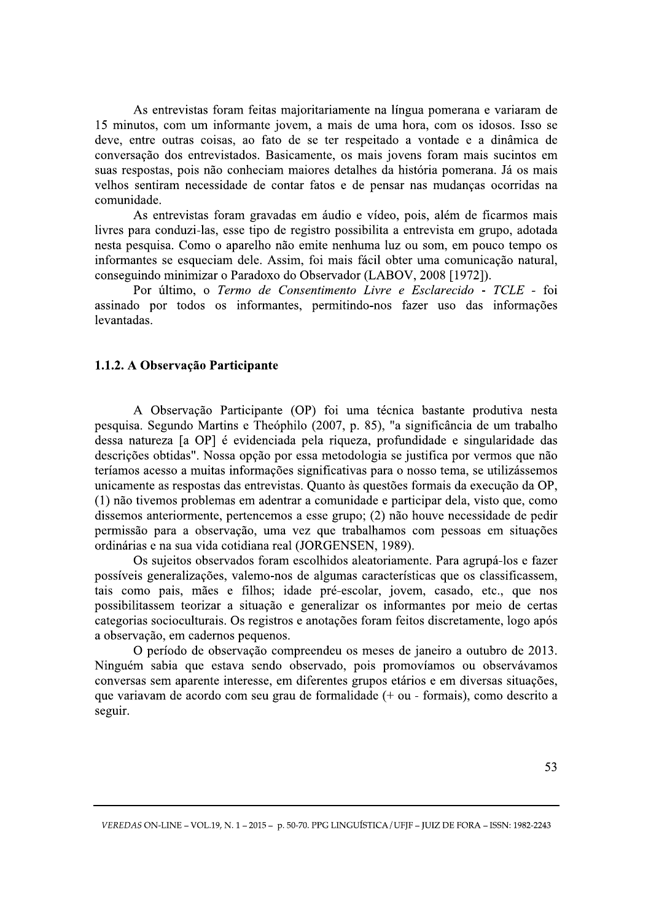As entrevistas foram feitas majoritariamente na língua pomerana e variaram de 15 minutos, com um informante jovem, a mais de uma hora, com os idosos. Isso se deve, entre outras coisas, ao fato de se ter respeitado a vontade e a dinâmica de conversação dos entrevistados. Basicamente, os mais jovens foram mais sucintos em suas respostas, pois não conheciam maiores detalhes da história pomerana. Já os mais velhos sentiram necessidade de contar fatos e de pensar nas mudanças ocorridas na comunidade.

As entrevistas foram gravadas em áudio e vídeo, pois, além de ficarmos mais livres para conduzi-las, esse tipo de registro possibilita a entrevista em grupo, adotada nesta pesquisa. Como o aparelho não emite nenhuma luz ou som, em pouco tempo os informantes se esqueciam dele. Assim, foi mais fácil obter uma comunicação natural, conseguindo minimizar o Paradoxo do Observador (LABOV, 2008 [1972]).

Por último, o Termo de Consentimento Livre e Esclarecido - TCLE - foi assinado por todos os informantes, permitindo-nos fazer uso das informações levantadas.

### 1.1.2. A Observação Participante

A Observação Participante (OP) foi uma técnica bastante produtiva nesta pesquisa. Segundo Martins e Theóphilo (2007, p. 85), "a significância de um trabalho dessa natureza [a OP] é evidenciada pela riqueza, profundidade e singularidade das descrições obtidas". Nossa opção por essa metodologia se justifica por vermos que não teríamos acesso a muitas informações significativas para o nosso tema, se utilizássemos unicamente as respostas das entrevistas. Quanto às questões formais da execução da OP, (1) não tivemos problemas em adentrar a comunidade e participar dela, visto que, como dissemos anteriormente, pertencemos a esse grupo; (2) não houve necessidade de pedir permissão para a observação, uma vez que trabalhamos com pessoas em situações ordinárias e na sua vida cotidiana real (JORGENSEN, 1989).

Os sujeitos observados foram escolhidos aleatoriamente. Para agrupá-los e fazer possíveis generalizações, valemo-nos de algumas características que os classificassem, tais como pais, mães e filhos; idade pré-escolar, jovem, casado, etc., que nos possibilitassem teorizar a situação e generalizar os informantes por meio de certas categorias socioculturais. Os registros e anotações foram feitos discretamente, logo após a observação, em cadernos pequenos.

O período de observação compreendeu os meses de janeiro a outubro de 2013. Ninguém sabia que estava sendo observado, pois promovíamos ou observávamos conversas sem aparente interesse, em diferentes grupos etários e em diversas situações, que variavam de acordo com seu grau de formalidade (+ ou - formais), como descrito a seguir.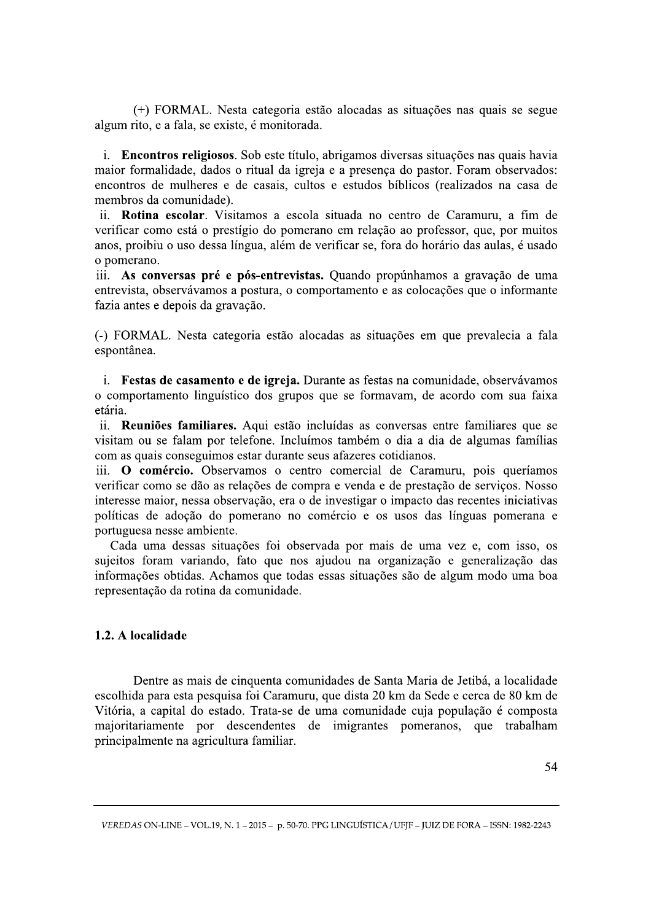(+) FORMAL. Nesta categoria estão alocadas as situações nas quais se segue algum rito, e a fala, se existe, é monitorada.

i. Encontros religiosos. Sob este título, abrigamos diversas situações nas quais havia maior formalidade, dados o ritual da igreja e a presença do pastor. Foram observados: encontros de mulheres e de casais, cultos e estudos bíblicos (realizados na casa de membros da comunidade).

ii. Rotina escolar. Visitamos a escola situada no centro de Caramuru, a fim de verificar como está o prestígio do pomerano em relação ao professor, que, por muitos anos, proibiu o uso dessa língua, além de verificar se, fora do horário das aulas, é usado o pomerano.

iii. As conversas pré e pós-entrevistas. Quando propúnhamos a gravação de uma entrevista, observávamos a postura, o comportamento e as colocações que o informante fazia antes e depois da gravação.

(-) FORMAL. Nesta categoria estão alocadas as situações em que prevalecia a fala espontânea.

i. Festas de casamento e de igreja. Durante as festas na comunidade, observávamos o comportamento linguístico dos grupos que se formavam, de acordo com sua faixa etária.

ii. Reuniões familiares. Aqui estão incluídas as conversas entre familiares que se visitam ou se falam por telefone. Incluímos também o dia a dia de algumas famílias com as quais conseguimos estar durante seus afazeres cotidianos.

iii. O comércio. Observamos o centro comercial de Caramuru, pois queríamos verificar como se dão as relações de compra e venda e de prestação de serviços. Nosso interesse maior, nessa observação, era o de investigar o impacto das recentes iniciativas políticas de adoção do pomerano no comércio e os usos das línguas pomerana e portuguesa nesse ambiente.

Cada uma dessas situações foi observada por mais de uma vez e, com isso, os sujeitos foram variando, fato que nos ajudou na organização e generalização das informações obtidas. Achamos que todas essas situações são de algum modo uma boa representação da rotina da comunidade.

# 1.2. A localidade

Dentre as mais de cinquenta comunidades de Santa Maria de Jetibá, a localidade escolhida para esta pesquisa foi Caramuru, que dista 20 km da Sede e cerca de 80 km de Vitória, a capital do estado. Trata-se de uma comunidade cuja população é composta majoritariamente por descendentes de imigrantes pomeranos, que trabalham principalmente na agricultura familiar.

VEREDAS ON-LINE - VOL.19, N. 1 - 2015 - p. 50-70. PPG LINGUÍSTICA / UFIF - JUIZ DE FORA - ISSN: 1982-2243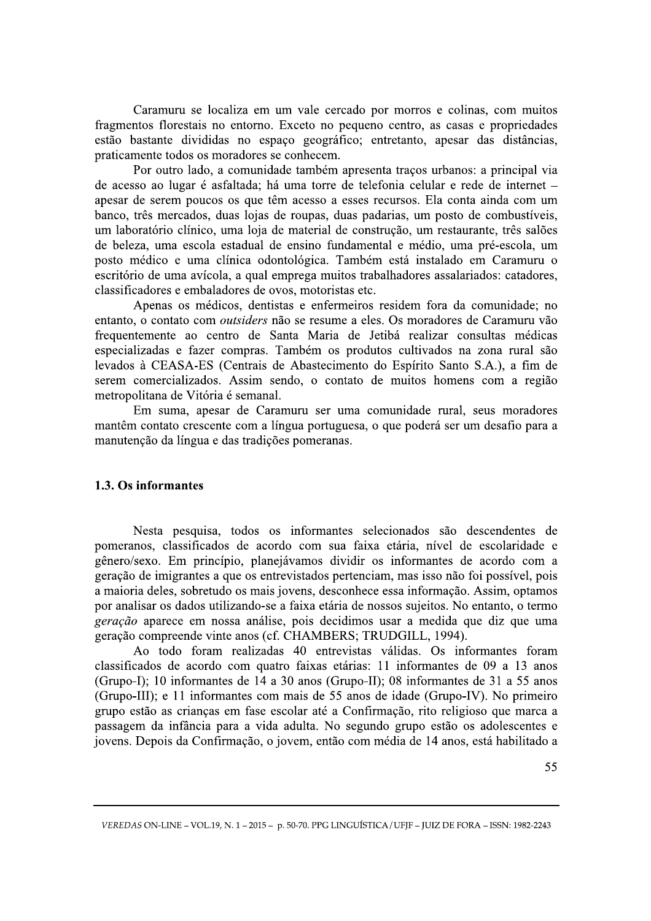Caramuru se localiza em um vale cercado por morros e colinas, com muitos fragmentos florestais no entorno. Exceto no pequeno centro, as casas e propriedades estão bastante divididas no espaço geográfico; entretanto, apesar das distâncias, praticamente todos os moradores se conhecem.

Por outro lado, a comunidade também apresenta traços urbanos: a principal via de acesso ao lugar é asfaltada; há uma torre de telefonia celular e rede de internet apesar de serem poucos os que têm acesso a esses recursos. Ela conta ainda com um banco, três mercados, duas lojas de roupas, duas padarias, um posto de combustíveis, um laboratório clínico, uma loja de material de construção, um restaurante, três salões de beleza, uma escola estadual de ensino fundamental e médio, uma pré-escola, um posto médico e uma clínica odontológica. Também está instalado em Caramuru o escritório de uma avícola, a qual emprega muitos trabalhadores assalariados: catadores, classificadores e embaladores de ovos, motoristas etc.

Apenas os médicos, dentistas e enfermeiros residem fora da comunidade; no entanto, o contato com *outsiders* não se resume a eles. Os moradores de Caramuru vão frequentemente ao centro de Santa Maria de Jetibá realizar consultas médicas especializadas e fazer compras. Também os produtos cultivados na zona rural são levados à CEASA-ES (Centrais de Abastecimento do Espírito Santo S.A.), a fim de serem comercializados. Assim sendo, o contato de muitos homens com a região metropolitana de Vitória é semanal.

Em suma, apesar de Caramuru ser uma comunidade rural, seus moradores mantêm contato crescente com a língua portuguesa, o que poderá ser um desafio para a manutenção da língua e das tradições pomeranas.

#### 1.3. Os informantes

Nesta pesquisa, todos os informantes selecionados são descendentes de pomeranos, classificados de acordo com sua faixa etária, nível de escolaridade e gênero/sexo. Em princípio, planejávamos dividir os informantes de acordo com a geração de imigrantes a que os entrevistados pertenciam, mas isso não foi possível, pois a maioria deles, sobretudo os mais jovens, desconhece essa informação. Assim, optamos por analisar os dados utilizando-se a faixa etária de nossos sujeitos. No entanto, o termo geração aparece em nossa análise, pois decidimos usar a medida que diz que uma geração compreende vinte anos (cf. CHAMBERS; TRUDGILL, 1994).

Ao todo foram realizadas 40 entrevistas válidas. Os informantes foram classificados de acordo com quatro faixas etárias: 11 informantes de 09 a 13 anos (Grupo-I); 10 informantes de 14 a 30 anos (Grupo-II); 08 informantes de 31 a 55 anos (Grupo-III); e 11 informantes com mais de 55 anos de idade (Grupo-IV). No primeiro grupo estão as crianças em fase escolar até a Confirmação, rito religioso que marca a passagem da infância para a vida adulta. No segundo grupo estão os adolescentes e jovens. Depois da Confirmação, o jovem, então com média de 14 anos, está habilitado a

VEREDAS ON-LINE - VOL.19, N. 1 - 2015 - p. 50-70. PPG LINGUÍSTICA / UFIF - JUIZ DE FORA - ISSN: 1982-2243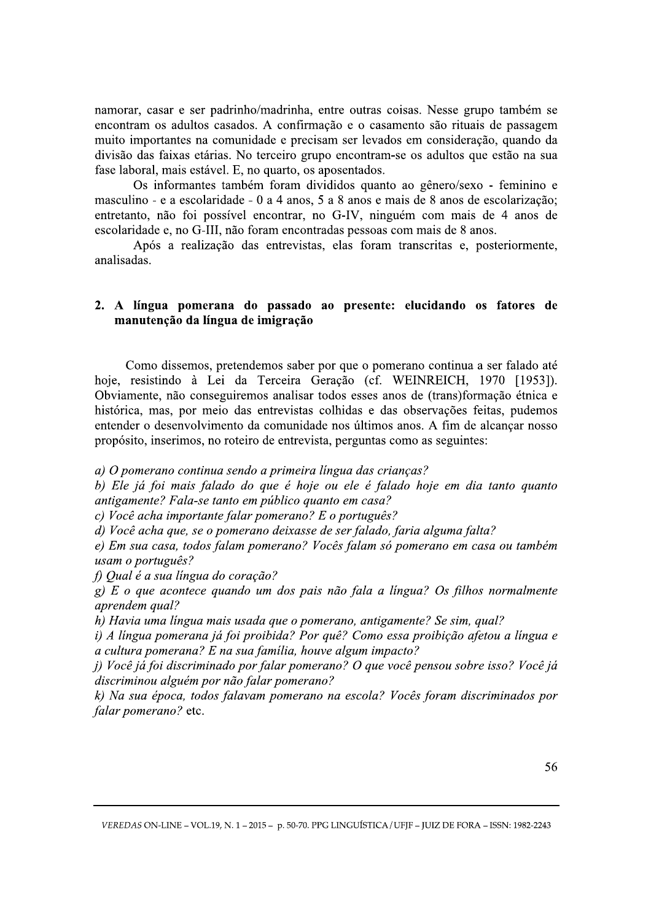namorar, casar e ser padrinho/madrinha, entre outras coisas. Nesse grupo também se encontram os adultos casados. A confirmação e o casamento são rituais de passagem muito importantes na comunidade e precisam ser levados em consideração, quando da divisão das faixas etárias. No terceiro grupo encontram-se os adultos que estão na sua fase laboral, mais estável. E, no quarto, os aposentados.

Os informantes também foram divididos quanto ao gênero/sexo - feminino e masculino - e a escolaridade - 0 a 4 anos, 5 a 8 anos e mais de 8 anos de escolarização; entretanto, não foi possível encontrar, no G-IV, ninguém com mais de 4 anos de escolaridade e, no G-III, não foram encontradas pessoas com mais de 8 anos.

Após a realização das entrevistas, elas foram transcritas e, posteriormente, analisadas.

# 2. A língua pomerana do passado ao presente: elucidando os fatores de manutenção da língua de imigração

Como dissemos, pretendemos saber por que o pomerano continua a ser falado até hoje, resistindo à Lei da Terceira Geração (cf. WEINREICH, 1970 [1953]). Obviamente, não conseguiremos analisar todos esses anos de (trans)formação étnica e histórica, mas, por meio das entrevistas colhidas e das observações feitas, pudemos entender o desenvolvimento da comunidade nos últimos anos. A fim de alcançar nosso propósito, inserimos, no roteiro de entrevista, perguntas como as seguintes:

a) O pomerano continua sendo a primeira língua das crianças?

b) Ele já foi mais falado do que é hoje ou ele é falado hoje em dia tanto quanto antigamente? Fala-se tanto em público quanto em casa?

c) Você acha importante falar pomerano? E o português?

d) Você acha que, se o pomerano deixasse de ser falado, faria alguma falta?

e) Em sua casa, todos falam pomerano? Vocês falam só pomerano em casa ou também usam o português?

f) Qual é a sua língua do coração?

 $g$ ) E o que acontece quando um dos pais não fala a língua? Os filhos normalmente aprendem qual?

h) Havia uma língua mais usada que o pomerano, antigamente? Se sim, qual?

i) A língua pomerana já foi proibida? Por quê? Como essa proibição afetou a língua e a cultura pomerana? E na sua familia, houve algum impacto?

j) Você já foi discriminado por falar pomerano? O que você pensou sobre isso? Você já discriminou alguém por não falar pomerano?

k) Na sua época, todos falavam pomerano na escola? Vocês foram discriminados por falar pomerano? etc.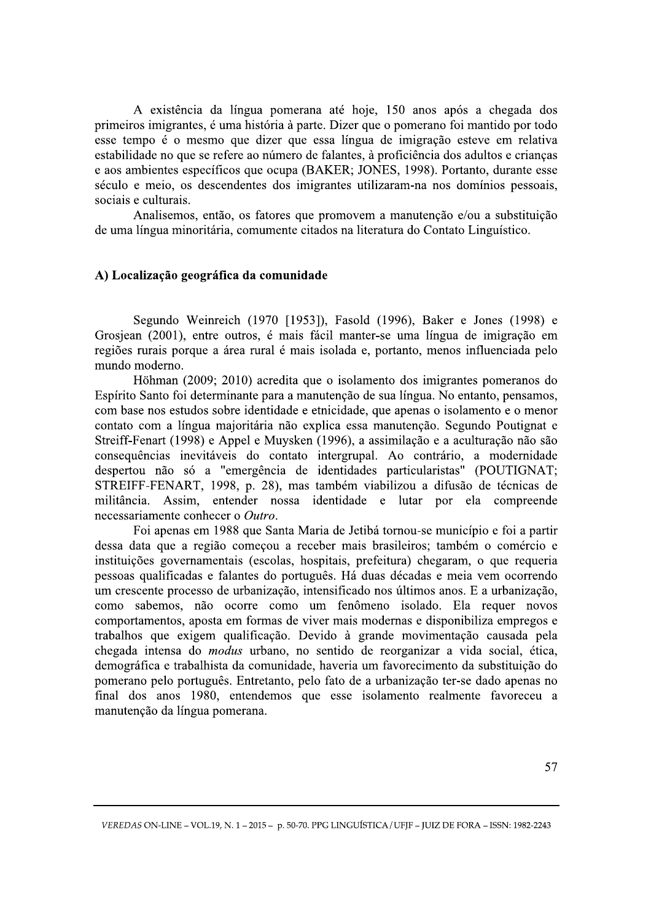A existência da língua pomerana até hoje, 150 anos após a chegada dos primeiros imigrantes, é uma história à parte. Dizer que o pomerano foi mantido por todo esse tempo é o mesmo que dizer que essa língua de imigração esteve em relativa estabilidade no que se refere ao número de falantes, à proficiência dos adultos e crianças e aos ambientes específicos que ocupa (BAKER; JONES, 1998). Portanto, durante esse século e meio, os descendentes dos imigrantes utilizaram-na nos domínios pessoais, sociais e culturais.

Analisemos, então, os fatores que promovem a manutenção e/ou a substituição de uma língua minoritária, comumente citados na literatura do Contato Linguístico.

### A) Localização geográfica da comunidade

Segundo Weinreich (1970 [1953]), Fasold (1996), Baker e Jones (1998) e Grosjean (2001), entre outros, é mais fácil manter-se uma língua de imigração em regiões rurais porque a área rural é mais isolada e, portanto, menos influenciada pelo mundo moderno.

Höhman (2009; 2010) acredita que o isolamento dos imigrantes pomeranos do Espírito Santo foi determinante para a manutenção de sua língua. No entanto, pensamos, com base nos estudos sobre identidade e etnicidade, que apenas o isolamento e o menor contato com a língua majoritária não explica essa manutenção. Segundo Poutignat e Streiff-Fenart (1998) e Appel e Muysken (1996), a assimilação e a aculturação não são consequências inevitáveis do contato intergrupal. Ao contrário, a modernidade despertou não só a "emergência de identidades particularistas" (POUTIGNAT; STREIFF-FENART, 1998, p. 28), mas também viabilizou a difusão de técnicas de militância. Assim, entender nossa identidade e lutar por ela compreende necessariamente conhecer o Outro.

Foi apenas em 1988 que Santa Maria de Jetibá tornou-se município e foi a partir dessa data que a região comecou a receber mais brasileiros; também o comércio e instituições governamentais (escolas, hospitais, prefeitura) chegaram, o que requeria pessoas qualificadas e falantes do português. Há duas décadas e meia vem ocorrendo um crescente processo de urbanização, intensificado nos últimos anos. E a urbanização, como sabemos, não ocorre como um fenômeno isolado. Ela requer novos comportamentos, aposta em formas de viver mais modernas e disponibiliza empregos e trabalhos que exigem qualificação. Devido à grande movimentação causada pela chegada intensa do *modus* urbano, no sentido de reorganizar a vida social, ética, demográfica e trabalhista da comunidade, haveria um favorecimento da substituição do pomerano pelo português. Entretanto, pelo fato de a urbanização ter-se dado apenas no final dos anos 1980, entendemos que esse isolamento realmente favoreceu a manutenção da língua pomerana.

VEREDAS ON-LINE - VOL.19, N. 1 - 2015 - p. 50-70. PPG LINGUÍSTICA / UFIF - JUIZ DE FORA - ISSN: 1982-2243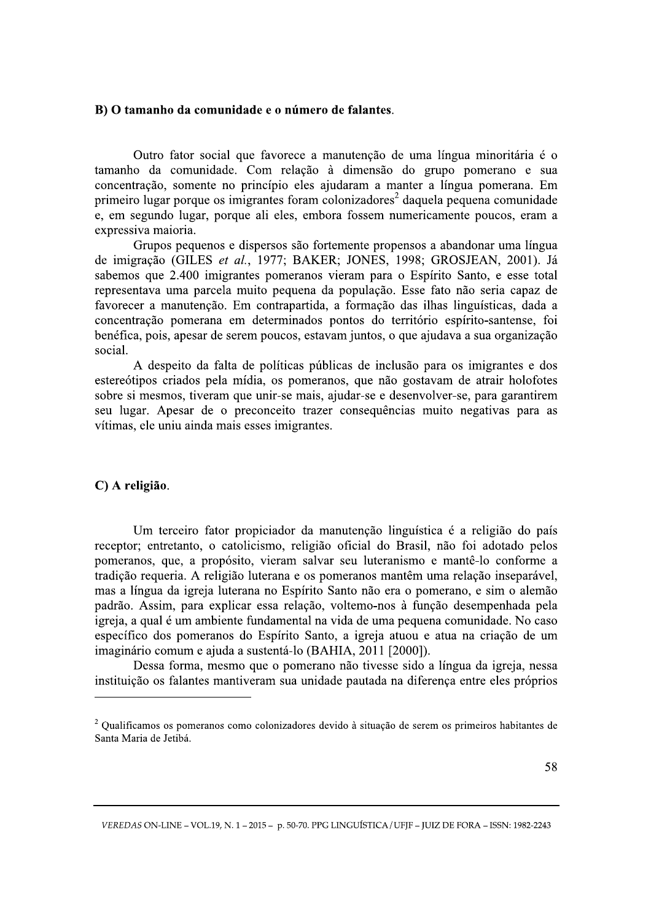#### B) O tamanho da comunidade e o número de falantes.

Outro fator social que favorece a manutenção de uma língua minoritária é o tamanho da comunidade. Com relação à dimensão do grupo pomerano e sua concentração, somente no princípio eles ajudaram a manter a língua pomerana. Em primeiro lugar porque os imigrantes foram colonizadores<sup>2</sup> daquela pequena comunidade e, em segundo lugar, porque ali eles, embora fossem numericamente poucos, eram a expressiva maioria.

Grupos pequenos e dispersos são fortemente propensos a abandonar uma língua de imigração (GILES et al., 1977; BAKER; JONES, 1998; GROSJEAN, 2001). Já sabemos que 2.400 imigrantes pomeranos vieram para o Espírito Santo, e esse total representava uma parcela muito pequena da população. Esse fato não seria capaz de favorecer a manutenção. Em contrapartida, a formação das ilhas linguísticas, dada a concentração pomerana em determinados pontos do território espírito-santense, foi benéfica, pois, apesar de serem poucos, estavam juntos, o que ajudava a sua organização social.

A despeito da falta de políticas públicas de inclusão para os imigrantes e dos estereótipos criados pela mídia, os pomeranos, que não gostavam de atrair holofotes sobre si mesmos, tiveram que unir-se mais, ajudar-se e desenvolver-se, para garantirem seu lugar. Apesar de o preconceito trazer consequências muito negativas para as vítimas, ele uniu ainda mais esses imigrantes.

#### C) A religião.

Um terceiro fator propiciador da manutenção linguística é a religião do país receptor; entretanto, o catolicismo, religião oficial do Brasil, não foi adotado pelos pomeranos, que, a propósito, vieram salvar seu luteranismo e mantê-lo conforme a tradição requeria. A religião luterana e os pomeranos mantêm uma relação inseparável, mas a língua da igreja luterana no Espírito Santo não era o pomerano, e sim o alemão padrão. Assim, para explicar essa relação, voltemo-nos à função desempenhada pela igreja, a qual é um ambiente fundamental na vida de uma pequena comunidade. No caso específico dos pomeranos do Espírito Santo, a igreja atuou e atua na criação de um imaginário comum e ajuda a sustentá-lo (BAHIA, 2011 [2000]).

Dessa forma, mesmo que o pomerano não tivesse sido a língua da igreja, nessa instituição os falantes mantiveram sua unidade pautada na diferença entre eles próprios

<sup>&</sup>lt;sup>2</sup> Qualificamos os pomeranos como colonizadores devido à situação de serem os primeiros habitantes de Santa Maria de Jetibá.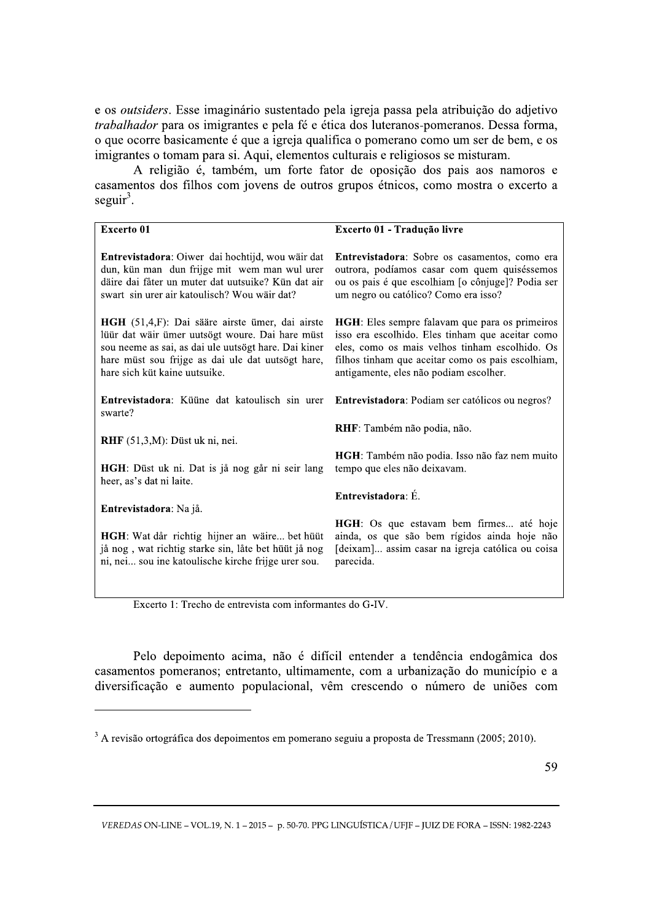e os *outsiders*. Esse imaginário sustentado pela igreja passa pela atribuição do adjetivo *trabalhador* para os imigrantes e pela fé e ética dos luteranos-pomeranos. Dessa forma, o que ocorre basicamente é que a igreja qualifica o pomerano como um ser de bem, e os imigrantes o tomam para si. Aqui, elementos culturais e religiosos se misturam.

A religião é, também, um forte fator de oposição dos pais aos namoros e casamentos dos filhos com jovens de outros grupos étnicos, como mostra o excerto a seguir<sup>3</sup>.

| <b>Excerto 01</b>                                                                                                                                                                                                                                | Excerto 01 - Tradução livre                                                                                                                                                                                                                         |
|--------------------------------------------------------------------------------------------------------------------------------------------------------------------------------------------------------------------------------------------------|-----------------------------------------------------------------------------------------------------------------------------------------------------------------------------------------------------------------------------------------------------|
| Entrevistadora: Oiwer dai hochtijd, wou wäir dat<br>dun, kün man dun frijge mit wem man wul urer<br>däire dai fåter un muter dat uutsuike? Kün dat air<br>swart sin urer air katoulisch? Wou wäir dat?                                           | Entrevistadora: Sobre os casamentos, como era<br>outrora, podíamos casar com quem quiséssemos<br>ou os pais é que escolhiam [o cônjuge]? Podia ser<br>um negro ou católico? Como era isso?                                                          |
| HGH (51,4,F): Dai sääre airste ümer, dai airste<br>lüür dat wäir ümer uutsögt woure. Dai hare müst<br>sou neeme as sai, as dai ule uutsögt hare. Dai kiner<br>hare müst sou frijge as dai ule dat uutsögt hare,<br>hare sich küt kaine uutsuike. | HGH: Eles sempre falavam que para os primeiros<br>isso era escolhido. Eles tinham que aceitar como<br>eles, como os mais velhos tinham escolhido. Os<br>filhos tinham que aceitar como os pais escolhiam,<br>antigamente, eles não podiam escolher. |
| Entrevistadora: Küüne dat katoulisch sin urer<br>swarte?                                                                                                                                                                                         | Entrevistadora: Podiam ser católicos ou negros?                                                                                                                                                                                                     |
| $RHF(51,3,M)$ : Düst uk ni, nei.                                                                                                                                                                                                                 | <b>RHF</b> : Também não podia, não.                                                                                                                                                                                                                 |
| HGH: Düst uk ni. Dat is jå nog går ni seir lang<br>heer, as's dat ni laite.                                                                                                                                                                      | HGH: Também não podia. Isso não faz nem muito<br>tempo que eles não deixavam.                                                                                                                                                                       |
| Entrevistadora: Na jå.                                                                                                                                                                                                                           | Entrevistadora: É.                                                                                                                                                                                                                                  |
| HGH: Wat dår richtig hijner an wäire bet hüüt<br>jå nog, wat richtig starke sin, låte bet hüüt jå nog<br>ni, nei sou ine katoulische kirche frijge urer sou.                                                                                     | HGH: Os que estavam bem firmes até hoje<br>ainda, os que são bem rígidos ainda hoje não<br>[deixam] assim casar na igreja católica ou coisa<br>parecida.                                                                                            |

Excerto 1: Trecho de entrevista com informantes do G-IV.

Pelo depoimento acima, não é difícil entender a tendência endogâmica dos casamentos pomeranos; entretanto, ultimamente, com a urbanização do município e a diversificação e aumento populacional, vêm crescendo o número de uniões com

 $3 \text{ A revisão ortográfica dos depoimentos em pomerano seguiu a proposta de Tressmann (2005; 2010).}$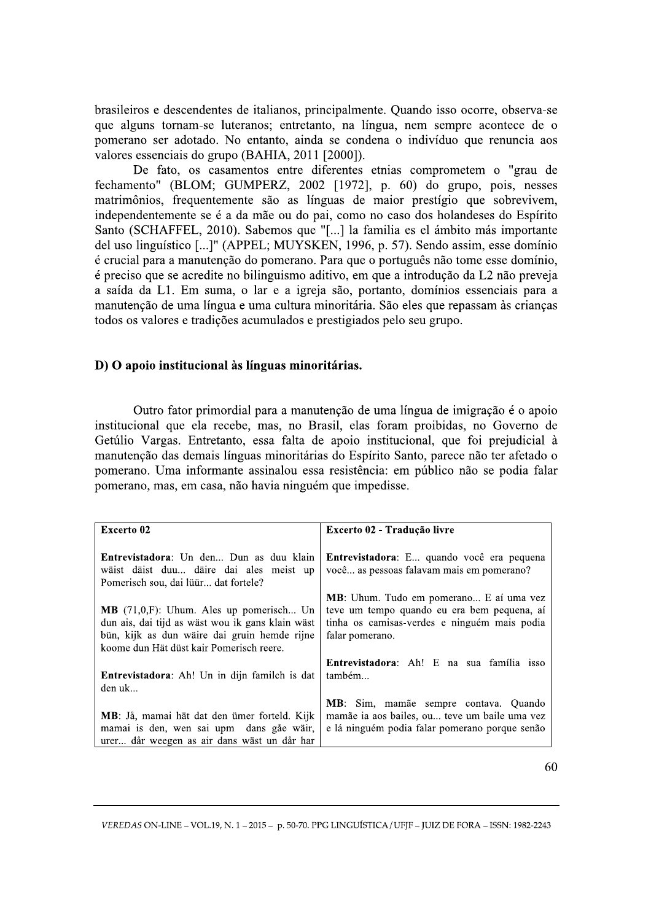brasileiros e descendentes de italianos, principalmente. Quando isso ocorre, observa-se que alguns tornam-se luteranos; entretanto, na língua, nem sempre acontece de o pomerano ser adotado. No entanto, ainda se condena o indivíduo que renuncia aos valores essenciais do grupo (BAHIA, 2011 [2000]).

De fato, os casamentos entre diferentes etnias comprometem o "grau de fechamento" (BLOM; GUMPERZ, 2002 [1972], p. 60) do grupo, pois, nesses matrimônios, frequentemente são as línguas de maior prestígio que sobrevivem, independentemente se é a da mãe ou do pai, como no caso dos holandeses do Espírito Santo (SCHAFFEL, 2010). Sabemos que "[...] la familia es el ámbito más importante del uso linguístico [...]" (APPEL; MUYSKEN, 1996, p. 57). Sendo assim, esse domínio é crucial para a manutenção do pomerano. Para que o português não tome esse domínio, é preciso que se acredite no bilinguismo aditivo, em que a introdução da L2 não preveja a saída da L1. Em suma, o lar e a igreja são, portanto, domínios essenciais para a manutenção de uma língua e uma cultura minoritária. São eles que repassam às crianças todos os valores e tradições acumulados e prestigiados pelo seu grupo.

# D) O apoio institucional às línguas minoritárias.

Outro fator primordial para a manutenção de uma língua de imigração é o apoio institucional que ela recebe, mas, no Brasil, elas foram proibidas, no Governo de Getúlio Vargas. Entretanto, essa falta de apoio institucional, que foi prejudicial à manutenção das demais línguas minoritárias do Espírito Santo, parece não ter afetado o pomerano. Uma informante assinalou essa resistência: em público não se podia falar pomerano, mas, em casa, não havia ninguém que impedisse.

| Excerto 02                                           | Excerto 02 - Tradução livre                       |
|------------------------------------------------------|---------------------------------------------------|
|                                                      |                                                   |
| Entrevistadora: Un den Dun as duu klain              | <b>Entrevistadora</b> : E quando você era pequena |
| wäist däist duu däire dai ales meist up              | você as pessoas falavam mais em pomerano?         |
| Pomerisch sou, dai lüür dat fortele?                 |                                                   |
|                                                      | <b>MB</b> : Uhum. Tudo em pomerano E aí uma vez   |
| $MB$ (71,0,F): Uhum. Ales up pomerisch Un            | teve um tempo quando eu era bem pequena, aí       |
| dun ais, dai tijd as wäst wou ik gans klain wäst     | tinha os camisas-verdes e ninguém mais podia      |
| bün, kijk as dun wäire dai gruin hemde rijne         | falar pomerano.                                   |
| koome dun Hät düst kair Pomerisch reere.             |                                                   |
|                                                      | <b>Entrevistadora:</b> Ah! E na sua família isso  |
| <b>Entrevistadora:</b> Ah! Un in dijn familch is dat | também                                            |
| den uk                                               |                                                   |
|                                                      | MB: Sim, mamãe sempre contava. Quando             |
| MB: Jå, mamai hät dat den ümer forteld. Kijk         | mamãe ia aos bailes, ou teve um baile uma vez     |
| mamai is den, wen sai upm dans gåe wäir,             | e lá ninguém podia falar pomerano porque senão    |
| urer dår weegen as air dans wäst un dår har          |                                                   |

60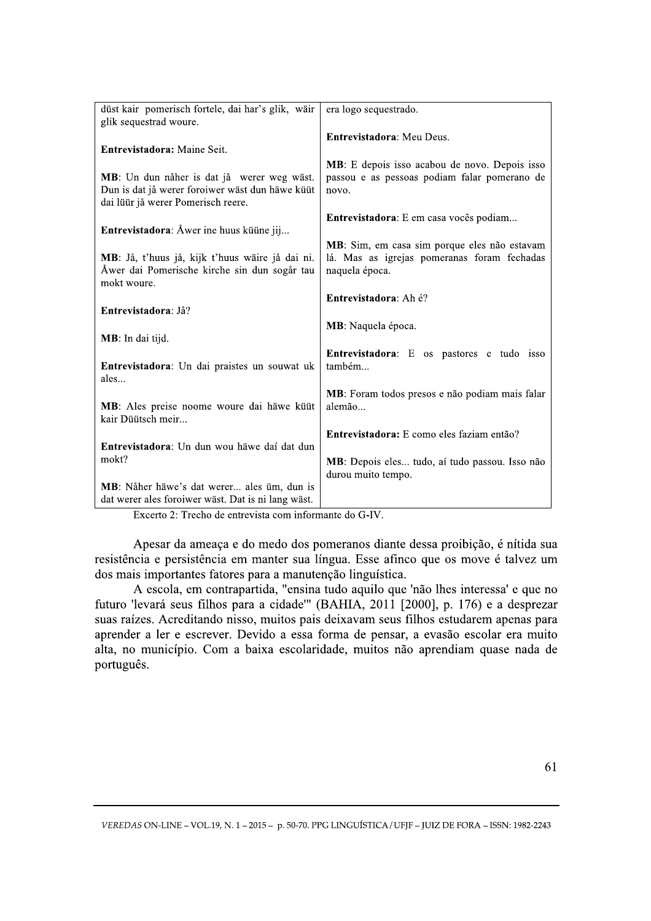| düst kair pomerisch fortele, dai har's glik, wäir<br>glik sequestrad woure.                                                         | era logo sequestrado.                                                                                         |
|-------------------------------------------------------------------------------------------------------------------------------------|---------------------------------------------------------------------------------------------------------------|
|                                                                                                                                     | Entrevistadora: Meu Deus.                                                                                     |
| Entrevistadora: Maine Seit.                                                                                                         |                                                                                                               |
| MB: Un dun nåher is dat jå werer weg wäst.<br>Dun is dat jå werer foroiwer wäst dun häwe küüt<br>dai lüür jå werer Pomerisch reere. | MB: E depois isso acabou de novo. Depois isso<br>passou e as pessoas podiam falar pomerano de<br>novo.        |
| Entrevistadora: Åwer ine huus küüne jij                                                                                             | Entrevistadora: E em casa vocês podiam                                                                        |
| MB: Jå, t'huus jå, kijk t'huus wäire jå dai ni.<br>Åwer dai Pomerische kirche sin dun sogår tau<br>mokt woure.                      | MB: Sim, em casa sim porque eles não estavam<br>lá. Mas as igrejas pomeranas foram fechadas<br>naquela época. |
| Entrevistadora: Jå?                                                                                                                 | Entrevistadora: Ah é?                                                                                         |
| MB: In dai tijd.                                                                                                                    | MB: Naquela época.                                                                                            |
| Entrevistadora: Un dai praistes un souwat uk<br>ales                                                                                | Entrevistadora: E os pastores e tudo isso<br>também                                                           |
| MB: Ales preise noome woure dai häwe küüt<br>kair Düütsch meir                                                                      | MB: Foram todos presos e não podiam mais falar<br>alemão                                                      |
| Entrevistadora: Un dun wou häwe dai dat dun                                                                                         | Entrevistadora: E como eles faziam então?                                                                     |
| mokt?                                                                                                                               | MB: Depois eles tudo, aí tudo passou. Isso não<br>durou muito tempo.                                          |
| MB: Nåher häwe's dat werer ales üm, dun is<br>dat werer ales foroiwer wäst. Dat is ni lang wäst.                                    |                                                                                                               |

Excerto 2: Trecho de entrevista com informante do G-IV.

Apesar da ameaça e do medo dos pomeranos diante dessa proibição, é nítida sua resistência e persistência em manter sua língua. Esse afinco que os move é talvez um dos mais importantes fatores para a manutenção linguística.

A escola, em contrapartida, "ensina tudo aquilo que 'não lhes interessa' e que no futuro 'levará seus filhos para a cidade'" (BAHIA, 2011 [2000], p. 176) e a desprezar suas raízes. Acreditando nisso, muitos pais deixavam seus filhos estudarem apenas para aprender a ler e escrever. Devido a essa forma de pensar, a evasão escolar era muito alta, no município. Com a baixa escolaridade, muitos não aprendiam quase nada de português.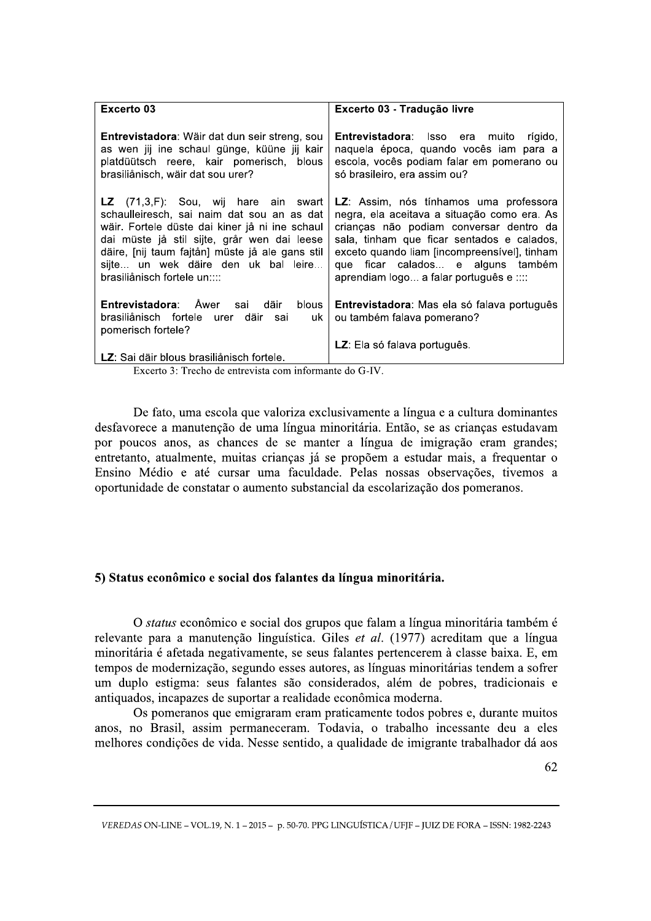| Excerto 03                                                                                                                                                                                                                                                                                                              | Excerto 03 - Tradução livre                                                                                                                                                                                                                                                                                    |
|-------------------------------------------------------------------------------------------------------------------------------------------------------------------------------------------------------------------------------------------------------------------------------------------------------------------------|----------------------------------------------------------------------------------------------------------------------------------------------------------------------------------------------------------------------------------------------------------------------------------------------------------------|
| <b>Entrevistadora:</b> Wäir dat dun seir streng, sou<br>as wen jij ine schaul günge, küüne jij kair<br>platdüütsch reere, kair pomerisch, blous<br>brasiliånisch, wäir dat sou urer?                                                                                                                                    | <b>Entrevistadora</b> : Isso era muito rígido,<br>naquela época, quando vocês iam para a<br>escola, vocês podiam falar em pomerano ou<br>só brasileiro, era assim ou?                                                                                                                                          |
| <b>LZ</b> $(71,3,F)$ : Sou, wij hare ain swart<br>schaulleiresch, sai naim dat sou an as dat<br>wäir. Fortele düste dai kiner jå ni ine schaul<br>dai müste jå stil sijte, grår wen dai leese<br>däire, [nij taum fajtån] müste jå ale gans stil<br>sijte un wek däire den uk bal leire<br>brasiliånisch fortele un:::: | LZ: Assim, nós tínhamos uma professora<br>negra, ela aceitava a situação como era. As<br>crianças não podiam conversar dentro da<br>sala, tinham que ficar sentados e calados,<br>exceto quando liam [incompreensivel], tinham<br>que ficar calados e alguns também<br>aprendiam logo a falar português e :::: |
| <b>Entrevistadora:</b> Awer sai däir<br>blous<br>brasiliånisch fortele urer<br>däir<br>sai<br>uk<br>pomerisch fortele?                                                                                                                                                                                                  | <b>Entrevistadora</b> : Mas ela só falava português<br>ou também falava pomerano?                                                                                                                                                                                                                              |
|                                                                                                                                                                                                                                                                                                                         | LZ: Ela só falava português.                                                                                                                                                                                                                                                                                   |
| LZ: Sai däir blous brasiliånisch fortele.<br>P 10 T 1 1 1                                                                                                                                                                                                                                                               |                                                                                                                                                                                                                                                                                                                |

Excerto 3: Trecho de entrevista com informante do G-IV.

De fato, uma escola que valoriza exclusivamente a língua e a cultura dominantes desfavorece a manutenção de uma língua minoritária. Então, se as crianças estudavam por poucos anos, as chances de se manter a língua de imigração eram grandes; entretanto, atualmente, muitas crianças já se propõem a estudar mais, a frequentar o Ensino Médio e até cursar uma faculdade. Pelas nossas observações, tivemos a oportunidade de constatar o aumento substancial da escolarização dos pomeranos.

# 5) Status econômico e social dos falantes da língua minoritária.

O status econômico e social dos grupos que falam a língua minoritária também é relevante para a manutenção linguística. Giles et al. (1977) acreditam que a língua minoritária é afetada negativamente, se seus falantes pertencerem à classe baixa. E, em tempos de modernização, segundo esses autores, as línguas minoritárias tendem a sofrer um duplo estigma: seus falantes são considerados, além de pobres, tradicionais e antiquados, incapazes de suportar a realidade econômica moderna.

Os pomeranos que emigraram eram praticamente todos pobres e, durante muitos anos, no Brasil, assim permaneceram. Todavia, o trabalho incessante deu a eles melhores condições de vida. Nesse sentido, a qualidade de imigrante trabalhador dá aos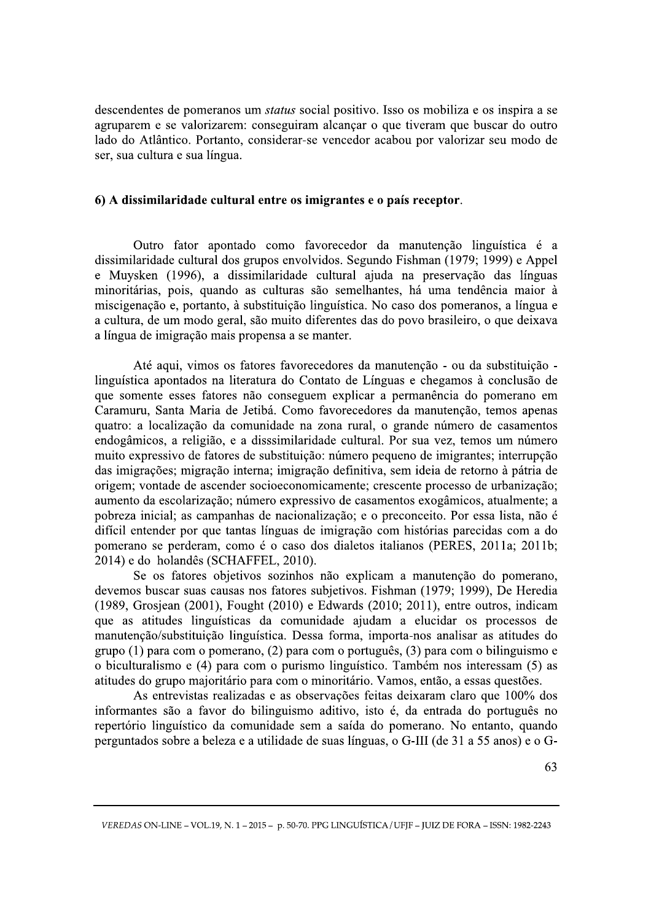descendentes de pomeranos um *status* social positivo. Isso os mobiliza e os inspira a se agruparem e se valorizarem: conseguiram alcançar o que tiveram que buscar do outro lado do Atlântico. Portanto, considerar-se vencedor acabou por valorizar seu modo de ser, sua cultura e sua língua.

#### 6) A dissimilaridade cultural entre os imigrantes e o país receptor.

Outro fator apontado como favorecedor da manutenção linguística é a dissimilaridade cultural dos grupos envolvidos. Segundo Fishman (1979; 1999) e Appel e Muysken (1996), a dissimilaridade cultural ajuda na preservação das línguas minoritárias, pois, quando as culturas são semelhantes, há uma tendência maior à miscigenação e, portanto, à substituição linguística. No caso dos pomeranos, a língua e a cultura, de um modo geral, são muito diferentes das do povo brasileiro, o que deixava a língua de imigração mais propensa a se manter.

Até aqui, vimos os fatores favorecedores da manutenção - ou da substituição linguística apontados na literatura do Contato de Línguas e chegamos à conclusão de que somente esses fatores não conseguem explicar a permanência do pomerano em Caramuru, Santa Maria de Jetibá. Como favorecedores da manutenção, temos apenas quatro: a localização da comunidade na zona rural, o grande número de casamentos endogâmicos, a religião, e a disssimilaridade cultural. Por sua vez, temos um número muito expressivo de fatores de substituição: número pequeno de imigrantes; interrupção das imigrações; migração interna; imigração definitiva, sem ideia de retorno à pátria de origem; vontade de ascender socioeconomicamente; crescente processo de urbanização; aumento da escolarização; número expressivo de casamentos exogâmicos, atualmente; a pobreza inicial; as campanhas de nacionalização; e o preconceito. Por essa lista, não é difícil entender por que tantas línguas de imigração com histórias parecidas com a do pomerano se perderam, como é o caso dos dialetos italianos (PERES, 2011a; 2011b; 2014) e do holandês (SCHAFFEL, 2010).

Se os fatores objetivos sozinhos não explicam a manutenção do pomerano, devemos buscar suas causas nos fatores subjetivos. Fishman (1979; 1999), De Heredia (1989, Grosjean (2001), Fought (2010) e Edwards (2010; 2011), entre outros, indicam que as atitudes linguísticas da comunidade ajudam a elucidar os processos de manutenção/substituição linguística. Dessa forma, importa-nos analisar as atitudes do grupo (1) para com o pomerano, (2) para com o português, (3) para com o bilinguismo e o biculturalismo e (4) para com o purismo linguístico. Também nos interessam (5) as atitudes do grupo majoritário para com o minoritário. Vamos, então, a essas questões.

As entrevistas realizadas e as observações feitas deixaram claro que 100% dos informantes são a favor do bilinguismo aditivo, isto é, da entrada do português no repertório linguístico da comunidade sem a saída do pomerano. No entanto, quando perguntados sobre a beleza e a utilidade de suas línguas, o G-III (de 31 a 55 anos) e o G-

VEREDAS ON-LINE - VOL.19, N. 1 - 2015 - p. 50-70. PPG LINGUÍSTICA / UFIF - JUIZ DE FORA - ISSN: 1982-2243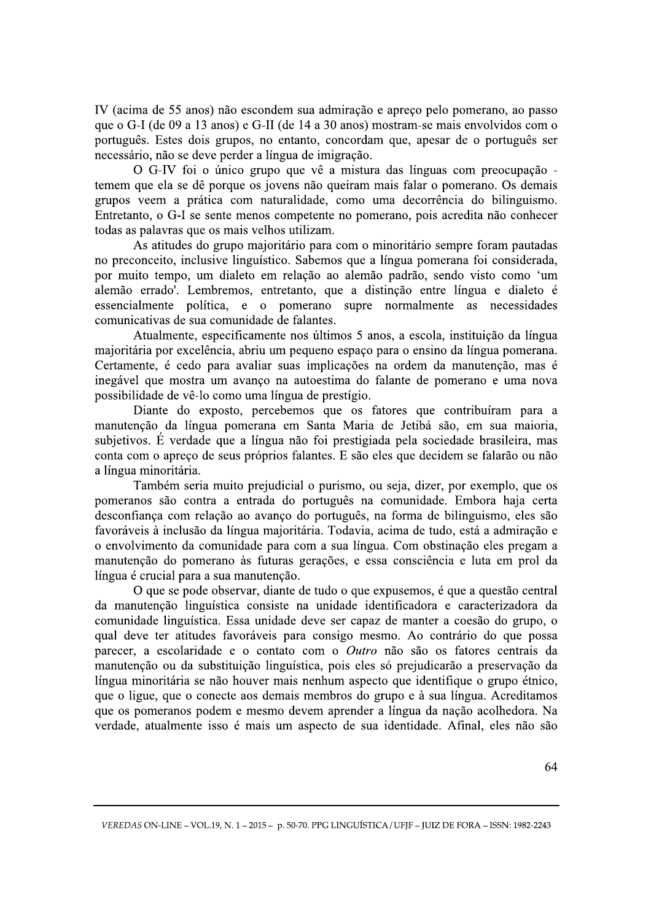IV (acima de 55 anos) não escondem sua admiração e apreço pelo pomerano, ao passo que o G-I (de 09 a 13 anos) e G-II (de 14 a 30 anos) mostram-se mais envolvidos com o português. Estes dois grupos, no entanto, concordam que, apesar de o português ser necessário, não se deve perder a língua de imigração.

O G-IV foi o único grupo que vê a mistura das línguas com preocupação temem que ela se dê porque os jovens não queiram mais falar o pomerano. Os demais grupos veem a prática com naturalidade, como uma decorrência do bilinguismo. Entretanto, o G-I se sente menos competente no pomerano, pois acredita não conhecer todas as palavras que os mais velhos utilizam.

As atitudes do grupo majoritário para com o minoritário sempre foram pautadas no preconceito, inclusive linguístico. Sabemos que a língua pomerana foi considerada, por muito tempo, um dialeto em relação ao alemão padrão, sendo visto como 'um alemão errado'. Lembremos, entretanto, que a distinção entre língua e dialeto é essencialmente política, e o pomerano supre normalmente as necessidades comunicativas de sua comunidade de falantes.

Atualmente, especificamente nos últimos 5 anos, a escola, instituição da língua majoritária por excelência, abriu um pequeno espaço para o ensino da língua pomerana. Certamente, é cedo para avaliar suas implicações na ordem da manutenção, mas é inegável que mostra um avanço na autoestima do falante de pomerano e uma nova possibilidade de vê-lo como uma língua de prestígio.

Diante do exposto, percebemos que os fatores que contribuíram para a manutenção da língua pomerana em Santa Maria de Jetibá são, em sua maioria, subjetivos. É verdade que a língua não foi prestigiada pela sociedade brasileira, mas conta com o apreço de seus próprios falantes. E são eles que decidem se falarão ou não a língua minoritária.

Também seria muito prejudicial o purismo, ou seja, dizer, por exemplo, que os pomeranos são contra a entrada do português na comunidade. Embora haja certa desconfiança com relação ao avanço do português, na forma de bilinguismo, eles são favoráveis à inclusão da língua majoritária. Todavia, acima de tudo, está a admiração e o envolvimento da comunidade para com a sua língua. Com obstinação eles pregam a manutenção do pomerano às futuras gerações, e essa consciência e luta em prol da língua é crucial para a sua manutenção.

 $\Omega$  que se pode observar, diante de tudo o que expusemos, é que a questão central da manutenção linguística consiste na unidade identificadora e caracterizadora da comunidade linguística. Essa unidade deve ser capaz de manter a coesão do grupo, o qual deve ter atitudes favoráveis para consigo mesmo. Ao contrário do que possa parecer, a escolaridade e o contato com o Outro não são os fatores centrais da manutenção ou da substituição linguística, pois eles só prejudicarão a preservação da língua minoritária se não houver mais nenhum aspecto que identifique o grupo étnico, que o ligue, que o conecte aos demais membros do grupo e à sua língua. Acreditamos que os pomeranos podem e mesmo devem aprender a língua da nação acolhedora. Na verdade, atualmente isso é mais um aspecto de sua identidade. Afinal, eles não são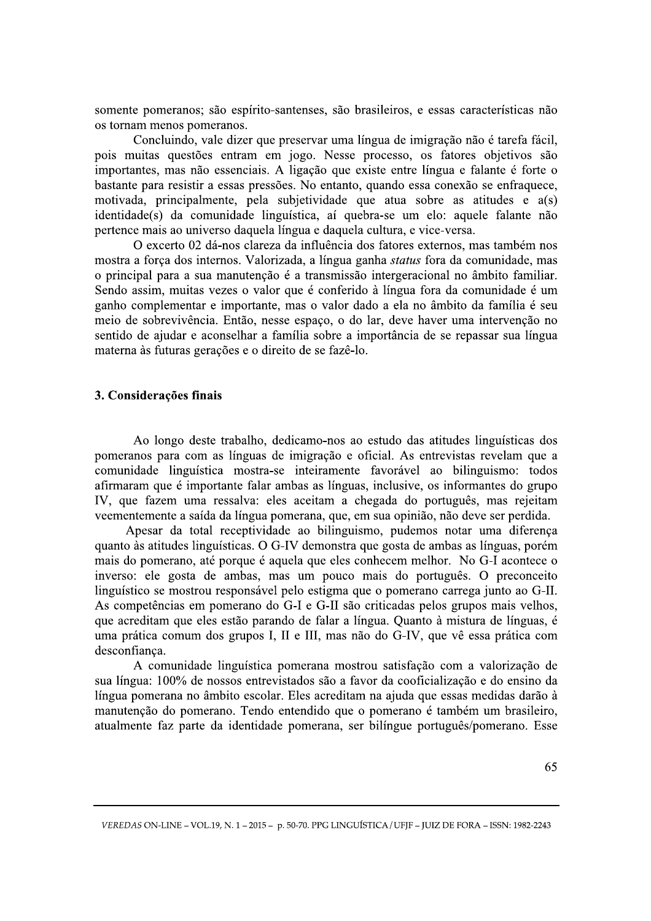somente pomeranos; são espírito-santenses, são brasileiros, e essas características não os tornam menos pomeranos.

Concluindo, vale dizer que preservar uma língua de imigração não é tarefa fácil, pois muitas questões entram em jogo. Nesse processo, os fatores objetivos são importantes, mas não essenciais. A ligação que existe entre língua e falante é forte o bastante para resistir a essas pressões. No entanto, quando essa conexão se enfraquece, motivada, principalmente, pela subjetividade que atua sobre as atitudes e a(s) identidade(s) da comunidade linguística, aí quebra-se um elo: aquele falante não pertence mais ao universo daquela língua e daquela cultura, e vice-versa.

O excerto 02 dá-nos clareza da influência dos fatores externos, mas também nos mostra a força dos internos. Valorizada, a língua ganha status fora da comunidade, mas o principal para a sua manutenção é a transmissão intergeracional no âmbito familiar. Sendo assim, muitas vezes o valor que é conferido à língua fora da comunidade é um ganho complementar e importante, mas o valor dado a ela no âmbito da família é seu meio de sobrevivência. Então, nesse espaço, o do lar, deve haver uma intervenção no sentido de ajudar e aconselhar a família sobre a importância de se repassar sua língua materna às futuras gerações e o direito de se fazê-lo.

### 3. Considerações finais

Ao longo deste trabalho, dedicamo-nos ao estudo das atitudes linguísticas dos pomeranos para com as línguas de imigração e oficial. As entrevistas revelam que a comunidade linguística mostra-se inteiramente favorável ao bilinguismo: todos afirmaram que é importante falar ambas as línguas, inclusive, os informantes do grupo IV, que fazem uma ressalva: eles aceitam a chegada do português, mas rejeitam veementemente a saída da língua pomerana, que, em sua opinião, não deve ser perdida.

Apesar da total receptividade ao bilinguismo, pudemos notar uma diferença quanto às atitudes linguísticas. O G-IV demonstra que gosta de ambas as línguas, porém mais do pomerano, até porque é aquela que eles conhecem melhor. No G-I acontece o inverso: ele gosta de ambas, mas um pouco mais do português. O preconceito linguístico se mostrou responsável pelo estigma que o pomerano carrega junto ao G-II. As competências em pomerano do G-I e G-II são criticadas pelos grupos mais velhos, que acreditam que eles estão parando de falar a língua. Quanto à mistura de línguas, é uma prática comum dos grupos I, II e III, mas não do G-IV, que vê essa prática com desconfianca.

A comunidade linguística pomerana mostrou satisfação com a valorização de sua língua: 100% de nossos entrevistados são a favor da cooficialização e do ensino da língua pomerana no âmbito escolar. Eles acreditam na ajuda que essas medidas darão à manutenção do pomerano. Tendo entendido que o pomerano é também um brasileiro, atualmente faz parte da identidade pomerana, ser bilíngue português/pomerano. Esse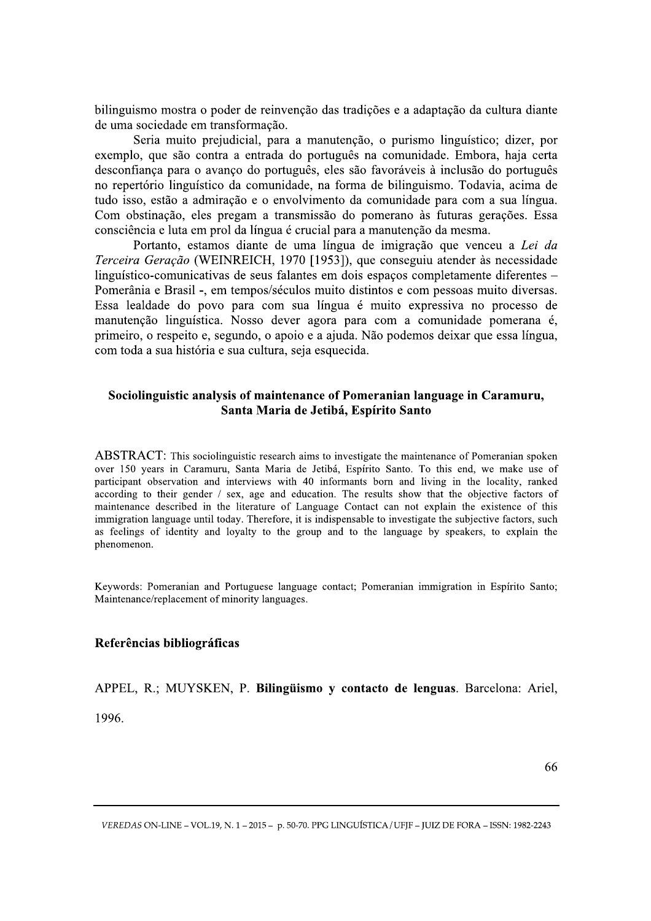bilinguismo mostra o poder de reinvenção das tradições e a adaptação da cultura diante de uma sociedade em transformação.

Seria muito prejudicial, para a manutenção, o purismo linguístico; dizer, por exemplo, que são contra a entrada do português na comunidade. Embora, haja certa desconfiança para o avanço do português, eles são favoráveis à inclusão do português no repertório linguístico da comunidade, na forma de bilinguismo. Todavia, acima de tudo isso, estão a admiração e o envolvimento da comunidade para com a sua língua. Com obstinação, eles pregam a transmissão do pomerano às futuras gerações. Essa consciência e luta em prol da língua é crucial para a manutenção da mesma.

Portanto, estamos diante de uma língua de imigração que venceu a Lei da Terceira Geração (WEINREICH, 1970 [1953]), que conseguiu atender às necessidade linguístico-comunicativas de seus falantes em dois espaços completamente diferentes – Pomerânia e Brasil -, em tempos/séculos muito distintos e com pessoas muito diversas. Essa lealdade do povo para com sua língua é muito expressiva no processo de manutenção linguística. Nosso dever agora para com a comunidade pomerana é, primeiro, o respeito e, segundo, o apoio e a ajuda. Não podemos deixar que essa língua, com toda a sua história e sua cultura, seja esquecida.

# Sociolinguistic analysis of maintenance of Pomeranian language in Caramuru, Santa Maria de Jetibá, Espírito Santo

ABSTRACT: This sociolinguistic research aims to investigate the maintenance of Pomeranian spoken over 150 years in Caramuru, Santa Maria de Jetibá, Espírito Santo. To this end, we make use of participant observation and interviews with 40 informants born and living in the locality, ranked according to their gender  $/$  sex, age and education. The results show that the objective factors of maintenance described in the literature of Language Contact can not explain the existence of this immigration language until today. Therefore, it is indispensable to investigate the subjective factors, such as feelings of identity and loyalty to the group and to the language by speakers, to explain the phenomenon.

Keywords: Pomeranian and Portuguese language contact: Pomeranian immigration in Espírito Santo: Maintenance/replacement of minority languages.

#### Referências bibliográficas

APPEL, R.; MUYSKEN, P. Bilingüismo y contacto de lenguas. Barcelona: Ariel,

1996.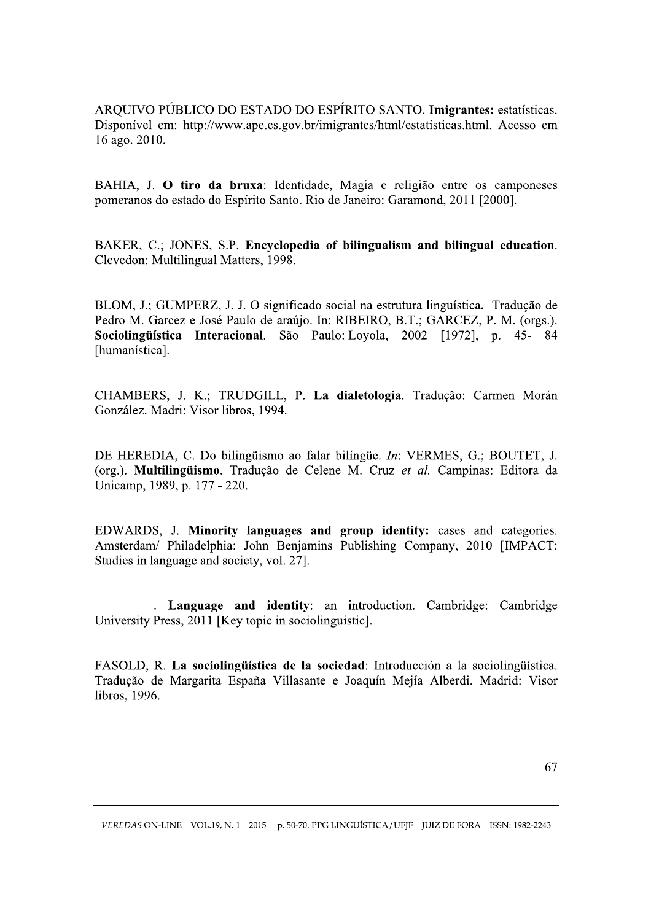ARQUIVO PÚBLICO DO ESTADO DO ESPÍRITO SANTO. Imigrantes: estatísticas. Disponível em: http://www.ape.es.gov.br/imigrantes/html/estatisticas.html. Acesso em 16 ago. 2010.

BAHIA, J. O tiro da bruxa: Identidade, Magia e religião entre os camponeses pomeranos do estado do Espírito Santo. Rio de Janeiro: Garamond, 2011 [2000].

BAKER, C.; JONES, S.P. Encyclopedia of bilingualism and bilingual education. Clevedon: Multilingual Matters, 1998.

BLOM, J.; GUMPERZ, J. J. O significado social na estrutura linguística. Tradução de Pedro M. Garcez e José Paulo de araújo. In: RIBEIRO, B.T.; GARCEZ, P. M. (orgs.). Sociolingüística Interacional. São Paulo: Loyola, 2002 [1972], p. 45-84 [humanística].

CHAMBERS, J. K.; TRUDGILL, P. La dialetologia. Tradução: Carmen Morán González. Madri: Visor libros, 1994.

DE HEREDIA, C. Do bilingüismo ao falar bilíngüe. *In*: VERMES, G.; BOUTET, J. (org.). Multilingüismo. Tradução de Celene M. Cruz et al. Campinas: Editora da Unicamp, 1989, p. 177 - 220.

EDWARDS, J. Minority languages and group identity: cases and categories. Amsterdam/ Philadelphia: John Benjamins Publishing Company, 2010 [IMPACT: Studies in language and society, vol. 27].

. Language and identity: an introduction. Cambridge: Cambridge University Press, 2011 [Key topic in sociolinguistic].

FASOLD, R. La sociolinguística de la sociedad: Introducción a la sociolinguística. Tradução de Margarita España Villasante e Joaquín Mejía Alberdi. Madrid: Visor libros, 1996.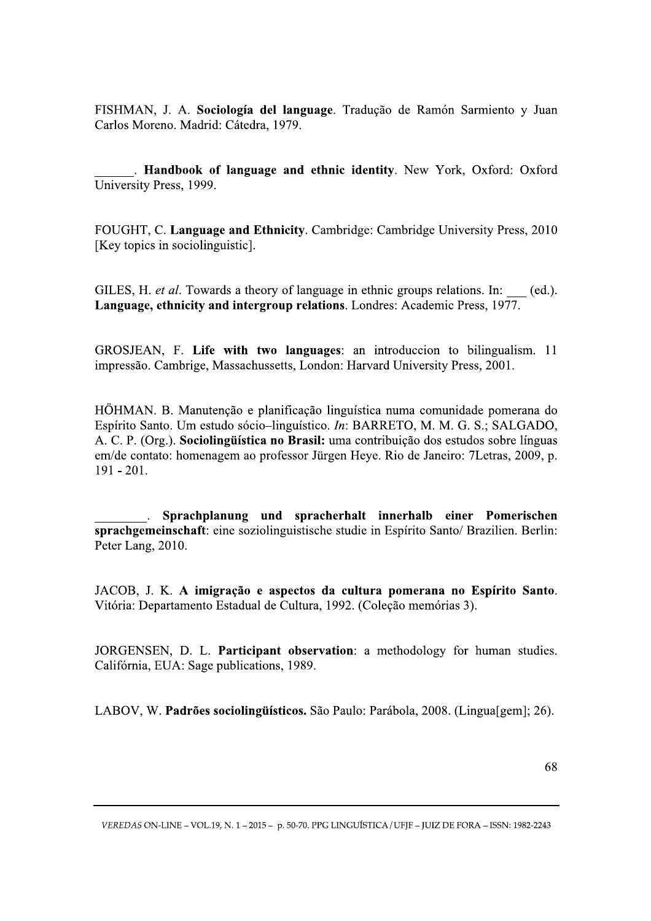FISHMAN, J. A. Sociología del language. Tradução de Ramón Sarmiento y Juan Carlos Moreno. Madrid: Cátedra, 1979.

. Handbook of language and ethnic identity. New York, Oxford: Oxford University Press, 1999.

FOUGHT, C. Language and Ethnicity. Cambridge: Cambridge University Press, 2010 [Key topics in sociolinguistic].

GILES, H. et al. Towards a theory of language in ethnic groups relations. In: (ed.). Language, ethnicity and intergroup relations. Londres: Academic Press, 1977.

GROSJEAN, F. Life with two languages: an introduccion to bilingualism. 11 impressão. Cambrige, Massachussetts, London: Harvard University Press, 2001.

HÖHMAN. B. Manutenção e planificação linguística numa comunidade pomerana do Espírito Santo. Um estudo sócio-linguístico. In: BARRETO, M. M. G. S.; SALGADO, A. C. P. (Org.). Sociolingüística no Brasil: uma contribuição dos estudos sobre línguas em/de contato: homenagem ao professor Jürgen Heye. Rio de Janeiro: 7Letras, 2009, p.  $191 - 201.$ 

Sprachplanung und spracherhalt innerhalb einer Pomerischen sprachgemeinschaft: eine soziolinguistische studie in Espírito Santo/ Brazilien. Berlin: Peter Lang, 2010.

JACOB, J. K. A imigração e aspectos da cultura pomerana no Espírito Santo. Vitória: Departamento Estadual de Cultura, 1992. (Coleção memórias 3).

JORGENSEN, D. L. Participant observation: a methodology for human studies. Califórnia, EUA: Sage publications, 1989.

LABOV, W. Padrões sociolingüísticos. São Paulo: Parábola, 2008. (Lingua[gem]; 26).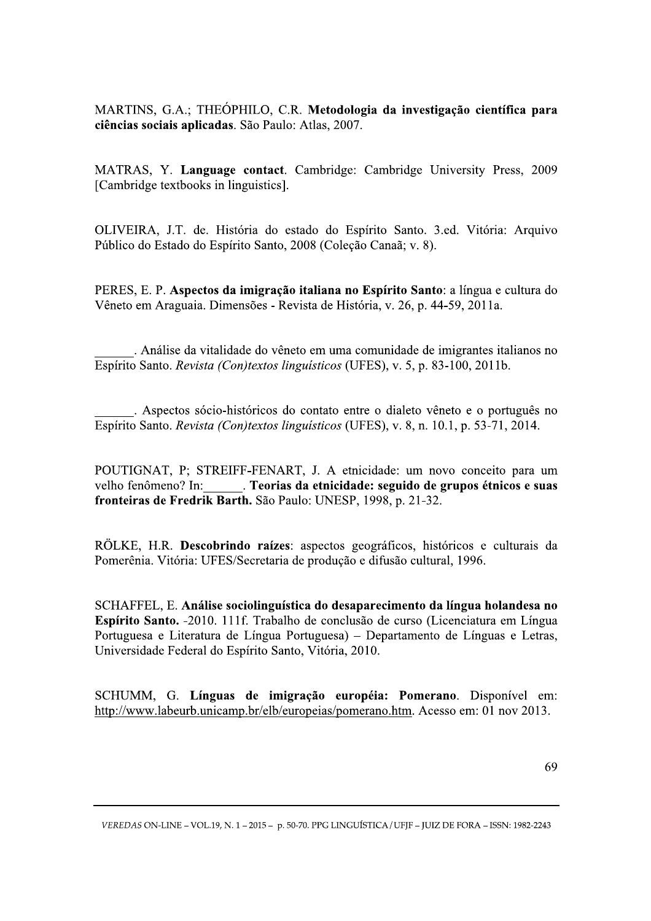MARTINS, G.A.; THEÓPHILO, C.R. Metodologia da investigação científica para ciências sociais aplicadas. São Paulo: Atlas, 2007.

MATRAS, Y. Language contact. Cambridge: Cambridge University Press, 2009 [Cambridge textbooks in linguistics].

OLIVEIRA, J.T. de. História do estado do Espírito Santo. 3.ed. Vitória: Arquivo Público do Estado do Espírito Santo, 2008 (Coleção Canaã; v. 8).

PERES, E. P. Aspectos da imigração italiana no Espírito Santo: a língua e cultura do Vêneto em Araguaia. Dimensões - Revista de História, v. 26, p. 44-59, 2011a.

. Análise da vitalidade do vêneto em uma comunidade de imigrantes italianos no Espírito Santo. Revista (Con)textos linguísticos (UFES), v. 5, p. 83-100, 2011b.

. Aspectos sócio-históricos do contato entre o dialeto vêneto e o português no Espírito Santo. Revista (Con)textos linguísticos (UFES), v. 8, n. 10.1, p. 53-71, 2014.

POUTIGNAT, P; STREIFF-FENART, J. A etnicidade: um novo conceito para um velho fenômeno? In: . Teorias da etnicidade: seguido de grupos étnicos e suas fronteiras de Fredrik Barth. São Paulo: UNESP, 1998, p. 21-32.

RÖLKE, H.R. Descobrindo raízes: aspectos geográficos, históricos e culturais da Pomerênia. Vitória: UFES/Secretaria de produção e difusão cultural, 1996.

SCHAFFEL, E. Análise sociolinguística do desaparecimento da língua holandesa no Espírito Santo. -2010. 111f. Trabalho de conclusão de curso (Licenciatura em Língua Portuguesa e Literatura de Língua Portuguesa) – Departamento de Línguas e Letras, Universidade Federal do Espírito Santo, Vitória, 2010.

SCHUMM, G. Línguas de imigração européia: Pomerano. Disponível em: http://www.labeurb.unicamp.br/elb/europeias/pomerano.htm. Acesso em: 01 nov 2013.